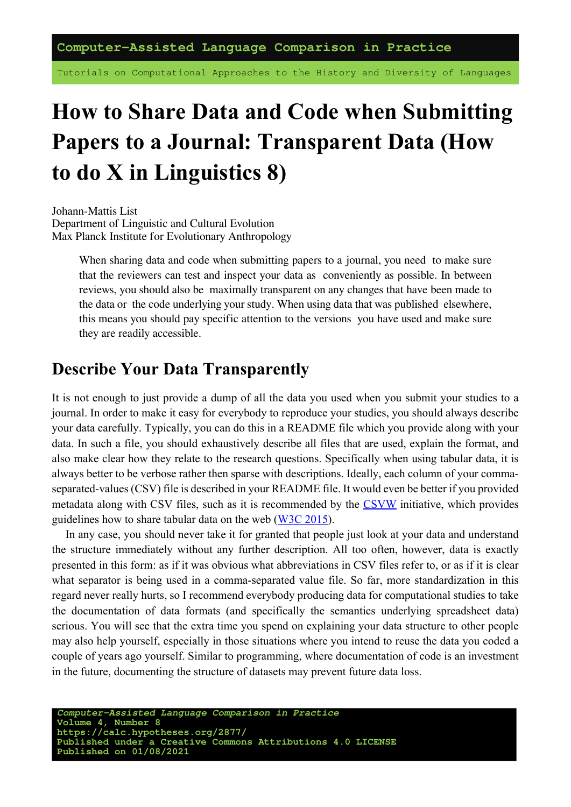**Computer-Assisted Language Comparison in Practice**

Tutorials on Computational Approaches to the History and Diversity of Languages

# **How to Share Data and Code when Submitting Papers to a Journal: Transparent Data (How to do X in Linguistics 8)**

Johann-Mattis List Department of Linguistic and Cultural Evolution Max Planck Institute for Evolutionary Anthropology

> When sharing data and code when submitting papers to a journal, you need to make sure that the reviewers can test and inspect your data as conveniently as possible. In between reviews, you should also be maximally transparent on any changes that have been made to the data or the code underlying your study. When using data that was published elsewhere, this means you should pay specific attention to the versions you have used and make sure they are readily accessible.

### **Describe Your Data Transparently**

It is not enough to just provide a dump of all the data you used when you submit your studies to a journal. In order to make it easy for everybody to reproduce your studies, you should always describe your data carefully. Typically, you can do this in a README file which you provide along with your data. In such a file, you should exhaustively describe all files that are used, explain the format, and also make clear how they relate to the research questions. Specifically when using tabular data, it is always better to be verbose rather then sparse with descriptions. Ideally, each column of your commaseparated-values (CSV) file is described in your README file. It would even be better if you provided metadata along with CSV files, such as it is recommended by the [CSVW](https://www.w3.org/ns/csvw) initiative, which provides guidelines how to share tabular data on the web([W3C 2015](https://digling.org/evobib/?bibtex=W3C2015)).

In any case, you should never take it for granted that people just look at your data and understand the structure immediately without any further description. All too often, however, data is exactly presented in this form: as if it was obvious what abbreviations in CSV files refer to, or as if it is clear what separator is being used in a comma-separated value file. So far, more standardization in this regard never really hurts, so I recommend everybody producing data for computational studies to take the documentation of data formats (and specifically the semantics underlying spreadsheet data) serious. You will see that the extra time you spend on explaining your data structure to other people may also help yourself, especially in those situations where you intend to reuse the data you coded a couple of years ago yourself. Similar to programming, where documentation of code is an investment in the future, documenting the structure of datasets may prevent future data loss.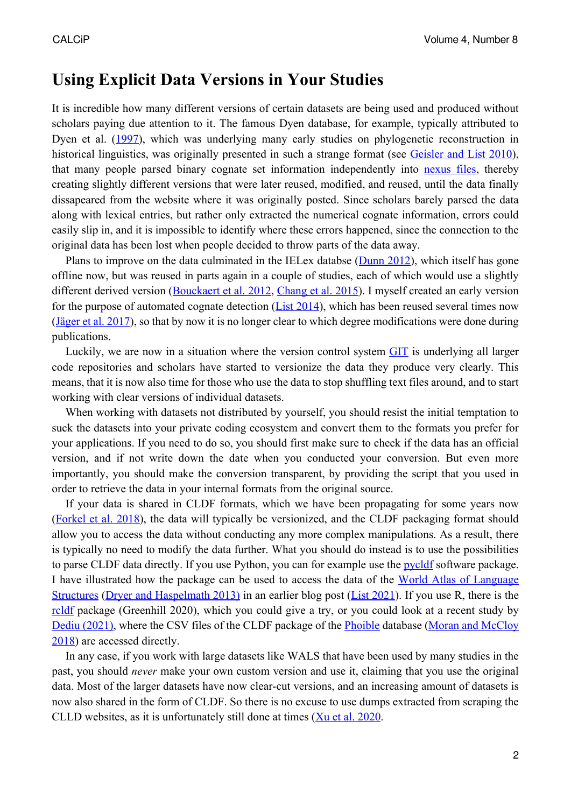#### **Using Explicit Data Versions in Your Studies**

It is incredible how many different versions of certain datasets are being used and produced without scholars paying due attention to it. The famous Dyen database, for example, typically attributed to Dyen et al.([1997\)](https://digling.org/evobib/?bibtex=Dyen1997), which was underlying many early studies on phylogenetic reconstruction in historical linguistics, was originally presented in such a strange format (see [Geisler and List 2010](https://digling.org/evobib/?bibtex=Geisler2010)), that many people parsed binary cognate set information independently into [nexus files,](https://en.wikipedia.org/wiki/Nexus_(data_format)) thereby creating slightly different versions that were later reused, modified, and reused, until the data finally dissapeared from the website where it was originally posted. Since scholars barely parsed the data along with lexical entries, but rather only extracted the numerical cognate information, errors could easily slip in, and it is impossible to identify where these errors happened, since the connection to the original data has been lost when people decided to throw parts of the data away.

Plans to improve on the data culminated in the IELex databse [\(Dunn 2012](https://digling.org/evobib/?bibtex=Dunn2012)), which itself has gone offline now, but was reused in parts again in a couple of studies, each of which would use a slightly different derived version([Bouckaert et al. 2012,](https://digling.org/evobib/?bibtex=Bouckaert2012) [Chang et al. 2015\)](https://digling.org/evobib/?bibtex=Chang2015). I myself created an early version for the purpose of automated cognate detection ( $List 2014$ ), which has been reused several times now [\(Jäger et al. 2017\)](https://digling.org/evobib/?bibtex=Jaeger2017), so that by now it is no longer clear to which degree modifications were done during publications.

Luckily, we are now in a situation where the version control system [GIT](https://en.wikipedia.org/wiki/Git) is underlying all larger code repositories and scholars have started to versionize the data they produce very clearly. This means, that it is now also time for those who use the data to stop shuffling text files around, and to start working with clear versions of individual datasets.

When working with datasets not distributed by yourself, you should resist the initial temptation to suck the datasets into your private coding ecosystem and convert them to the formats you prefer for your applications. If you need to do so, you should first make sure to check if the data has an official version, and if not write down the date when you conducted your conversion. But even more importantly, you should make the conversion transparent, by providing the script that you used in order to retrieve the data in your internal formats from the original source.

If your data is shared in CLDF formats, which we have been propagating for some years now [\(Forkel et al. 2018\)](https://digling.org/evobib/?bibtex=Forkel2018a), the data will typically be versionized, and the CLDF packaging format should allow you to access the data without conducting any more complex manipulations. As a result, there is typically no need to modify the data further. What you should do instead is to use the possibilities to parse CLDF data directly. If you use Python, you can for example use the [pycldf](https://github.com/cldf/pycldf) software package. I have illustrated how the package can be used to access the data of the [World Atlas of Language](https://wals.info/) [Structures](https://wals.info/) [\(Dryer and Haspelmath 2013\)](https://digling.org/evobib/?bibtex=Dryer2013) in an earlier blog post [\(List 2021](https://digling.org/evobib/?bibtex=List2021TBLOG02)). If you use R, there is the [rcldf](https://rdrr.io/github/SimonGreenhill/rcldf/man/rcldf-package.html) package (Greenhill 2020), which you could give a try, or you could look at a recent study by [Dediu \(2021\)](https://digling.org/evobib/?bibtex=Dediu2021b), where the CSV files of the CLDF package of the [Phoible](https://phoible.org/)database ([Moran and McCloy](https://digling.org/evobib/?bibtex=PHOIBLE) [2018](https://digling.org/evobib/?bibtex=PHOIBLE)) are accessed directly.

In any case, if you work with large datasets like WALS that have been used by many studies in the past, you should *never* make your own custom version and use it, claiming that you use the original data. Most of the larger datasets have now clear-cut versions, and an increasing amount of datasets is now also shared in the form of CLDF. So there is no excuse to use dumps extracted from scraping the CLLDwebsites, as it is unfortunately still done at times ([Xu et al. 2020](https://digling.org/evobib/?bibtex=Xu2020).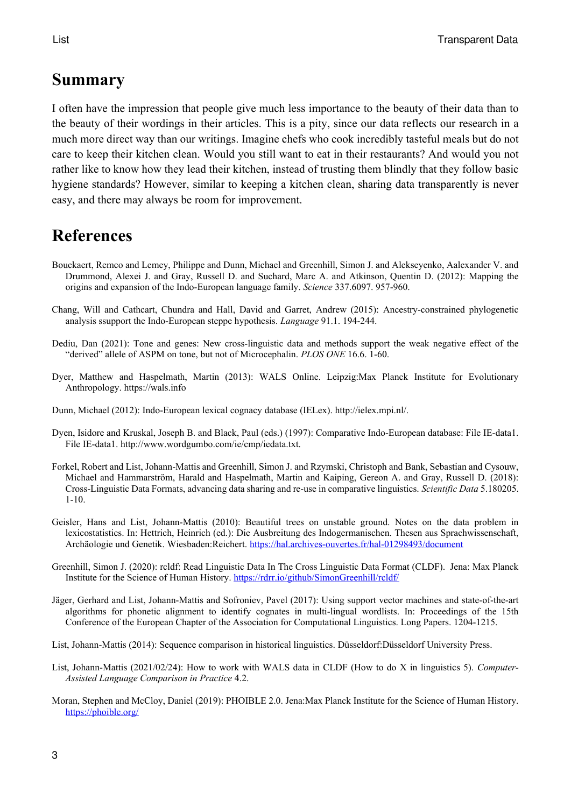## **Summary**

I often have the impression that people give much less importance to the beauty of their data than to the beauty of their wordings in their articles. This is a pity, since our data reflects our research in a much more direct way than our writings. Imagine chefs who cook incredibly tasteful meals but do not care to keep their kitchen clean. Would you still want to eat in their restaurants? And would you not rather like to know how they lead their kitchen, instead of trusting them blindly that they follow basic hygiene standards? However, similar to keeping a kitchen clean, sharing data transparently is never easy, and there may always be room for improvement.

# **References**

- Bouckaert, Remco and Lemey, Philippe and Dunn, Michael and Greenhill, Simon J. and Alekseyenko, Aalexander V. and Drummond, Alexei J. and Gray, Russell D. and Suchard, Marc A. and Atkinson, Quentin D. (2012): Mapping the origins and expansion of the Indo-European language family. *Science* 337.6097. 957-960.
- Chang, Will and Cathcart, Chundra and Hall, David and Garret, Andrew (2015): Ancestry-constrained phylogenetic analysis ssupport the Indo-European steppe hypothesis. *Language* 91.1. 194-244.
- Dediu, Dan (2021): Tone and genes: New cross-linguistic data and methods support the weak negative effect of the "derived" allele of ASPM on tone, but not of Microcephalin. *PLOS ONE* 16.6. 1-60.
- Dyer, Matthew and Haspelmath, Martin (2013): WALS Online. Leipzig:Max Planck Institute for Evolutionary Anthropology. https://wals.info
- Dunn, Michael (2012): Indo-European lexical cognacy database (IELex). http://ielex.mpi.nl/.
- Dyen, Isidore and Kruskal, Joseph B. and Black, Paul (eds.) (1997): Comparative Indo-European database: File IE-data1. File IE-data1. http://www.wordgumbo.com/ie/cmp/iedata.txt.
- Forkel, Robert and List, Johann-Mattis and Greenhill, Simon J. and Rzymski, Christoph and Bank, Sebastian and Cysouw, Michael and Hammarström, Harald and Haspelmath, Martin and Kaiping, Gereon A. and Gray, Russell D. (2018): Cross-Linguistic Data Formats, advancing data sharing and re-use in comparative linguistics. *Scientific Data* 5.180205. 1-10.
- Geisler, Hans and List, Johann-Mattis (2010): Beautiful trees on unstable ground. Notes on the data problem in lexicostatistics. In: Hettrich, Heinrich (ed.): Die Ausbreitung des Indogermanischen. Thesen aus Sprachwissenschaft, Archäologie und Genetik. Wiesbaden:Reichert. <https://hal.archives-ouvertes.fr/hal-01298493/document>
- Greenhill, Simon J. (2020): rcldf: Read Linguistic Data In The Cross Linguistic Data Format (CLDF). Jena: Max Planck Institute for the Science of Human History. <https://rdrr.io/github/SimonGreenhill/rcldf/>
- Jäger, Gerhard and List, Johann-Mattis and Sofroniev, Pavel (2017): Using support vector machines and state-of-the-art algorithms for phonetic alignment to identify cognates in multi-lingual wordlists. In: Proceedings of the 15th Conference of the European Chapter of the Association for Computational Linguistics. Long Papers. 1204-1215.
- List, Johann-Mattis (2014): Sequence comparison in historical linguistics. Düsseldorf:Düsseldorf University Press.
- List, Johann-Mattis (2021/02/24): How to work with WALS data in CLDF (How to do X in linguistics 5). *Computer-Assisted Language Comparison in Practice* 4.2.
- Moran, Stephen and McCloy, Daniel (2019): PHOIBLE 2.0. Jena:Max Planck Institute for the Science of Human History. <https://phoible.org/>